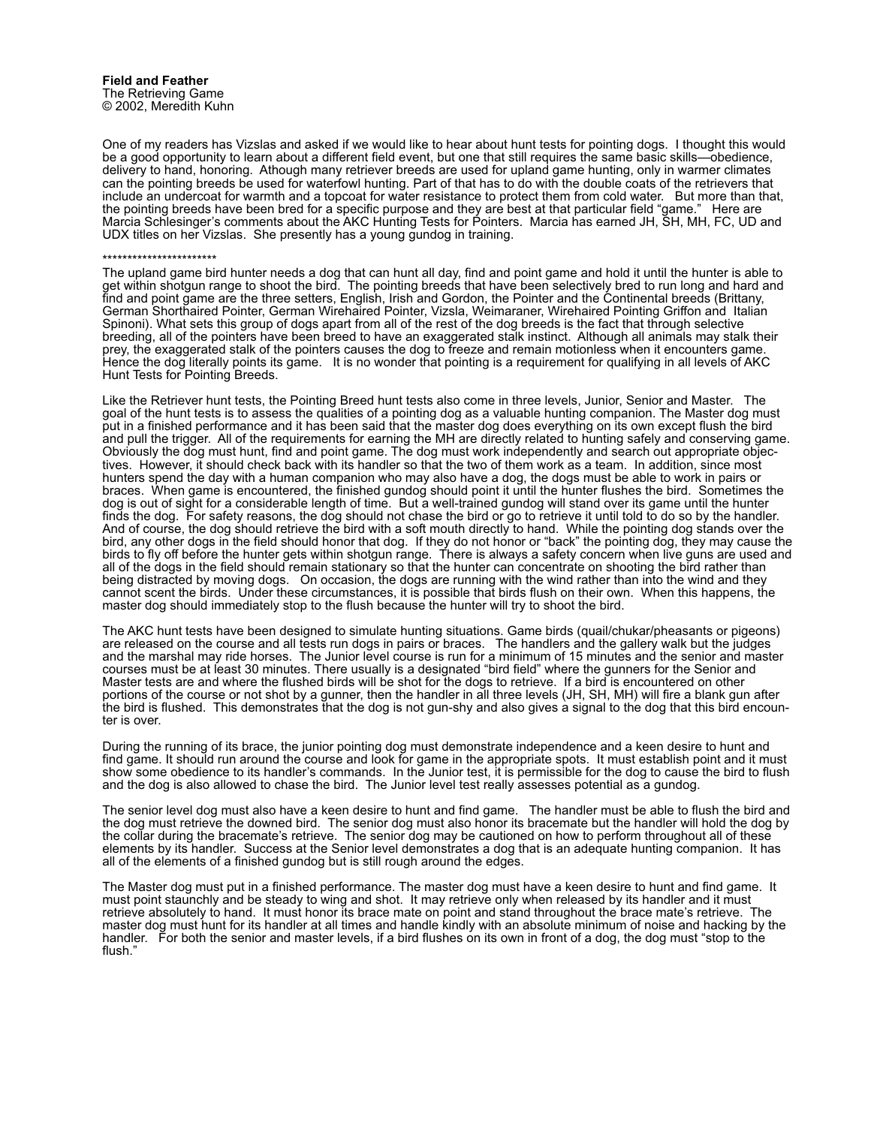One of my readers has Vizslas and asked if we would like to hear about hunt tests for pointing dogs. I thought this would be a good opportunity to learn about a different field event, but one that still requires the same basic skills—obedience, delivery to hand, honoring. Athough many retriever breeds are used for upland game hunting, only in warmer climates can the pointing breeds be used for waterfowl hunting. Part of that has to do with the double coats of the retrievers that include an undercoat for warmth and a topcoat for water resistance to protect them from cold water. But more than that, the pointing breeds have been bred for a specific purpose and they are best at that particular field "game." Here are Marcia Schlesinger's comments about the AKC Hunting Tests for Pointers. Marcia has earned JH, SH, MH, FC, UD and UDX titles on her Vizslas. She presently has a young gundog in training.

## \*\*\*\*\*\*\*\*\*\*\*\*\*\*\*\*\*\*\*\*\*\*\*

The upland game bird hunter needs a dog that can hunt all day, find and point game and hold it until the hunter is able to get within shotgun range to shoot the bird. The pointing breeds that have been selectively bred to run long and hard and find and point game are the three setters, English, Irish and Gordon, the Pointer and the Continental breeds (Brittany, German Shorthaired Pointer, German Wirehaired Pointer, Vizsla, Weimaraner, Wirehaired Pointing Griffon and Italian Spinoni). What sets this group of dogs apart from all of the rest of the dog breeds is the fact that through selective breeding, all of the pointers have been breed to have an exaggerated stalk instinct. Although all animals may stalk their prey, the exaggerated stalk of the pointers causes the dog to freeze and remain motionless when it encounters game. Hence the dog literally points its game. It is no wonder that pointing is a requirement for qualifying in all levels of AKC Hunt Tests for Pointing Breeds.

Like the Retriever hunt tests, the Pointing Breed hunt tests also come in three levels, Junior, Senior and Master. The goal of the hunt tests is to assess the qualities of a pointing dog as a valuable hunting companion. The Master dog must put in a finished performance and it has been said that the master dog does everything on its own except flush the bird and pull the trigger. All of the requirements for earning the MH are directly related to hunting safely and conserving game. Obviously the dog must hunt, find and point game. The dog must work independently and search out appropriate objectives. However, it should check back with its handler so that the two of them work as a team. In addition, since most hunters spend the day with a human companion who may also have a dog, the dogs must be able to work in pairs or braces. When game is encountered, the finished gundog should point it until the hunter flushes the bird. Sometimes the dog is out of sight for a considerable length of time. But a well-trained gundog will stand over its game until the hunter finds the dog. For safety reasons, the dog should not chase the bird or go to retrieve it until told to do so by the handler. And of course, the dog should retrieve the bird with a soft mouth directly to hand. While the pointing dog stands over the bird, any other dogs in the field should honor that dog. If they do not honor or "back" the pointing dog, they may cause the birds to fly off before the hunter gets within shotgun range. There is always a safety concern when live guns are used and all of the dogs in the field should remain stationary so that the hunter can concentrate on shooting the bird rather than being distracted by moving dogs. On occasion, the dogs are running with the wind rather than into the wind and they cannot scent the birds. Under these circumstances, it is possible that birds flush on their own. When this happens, the master dog should immediately stop to the flush because the hunter will try to shoot the bird.

The AKC hunt tests have been designed to simulate hunting situations. Game birds (quail/chukar/pheasants or pigeons) are released on the course and all tests run dogs in pairs or braces. The handlers and the gallery walk but the judges and the marshal may ride horses. The Junior level course is run for a minimum of 15 minutes and the senior and master courses must be at least 30 minutes. There usually is a designated "bird field" where the gunners for the Senior and Master tests are and where the flushed birds will be shot for the dogs to retrieve. If a bird is encountered on other portions of the course or not shot by a gunner, then the handler in all three levels (JH, SH, MH) will fire a blank gun after the bird is flushed. This demonstrates that the dog is not gun-shy and also gives a signal to the dog that this bird encounter is over.

During the running of its brace, the junior pointing dog must demonstrate independence and a keen desire to hunt and find game. It should run around the course and look for game in the appropriate spots. It must establish point and it must show some obedience to its handler's commands. In the Junior test, it is permissible for the dog to cause the bird to flush and the dog is also allowed to chase the bird. The Junior level test really assesses potential as a gundog.

The senior level dog must also have a keen desire to hunt and find game. The handler must be able to flush the bird and the dog must retrieve the downed bird. The senior dog must also honor its bracemate but the handler will hold the dog by the collar during the bracemate's retrieve. The senior dog may be cautioned on how to perform throughout all of these elements by its handler. Success at the Senior level demonstrates a dog that is an adequate hunting companion. It has all of the elements of a finished gundog but is still rough around the edges.

The Master dog must put in a finished performance. The master dog must have a keen desire to hunt and find game. It must point staunchly and be steady to wing and shot. It may retrieve only when released by its handler and it must retrieve absolutely to hand. It must honor its brace mate on point and stand throughout the brace mate's retrieve. The master dog must hunt for its handler at all times and handle kindly with an absolute minimum of noise and hacking by the handler. For both the senior and master levels, if a bird flushes on its own in front of a dog, the dog must "stop to the flush."